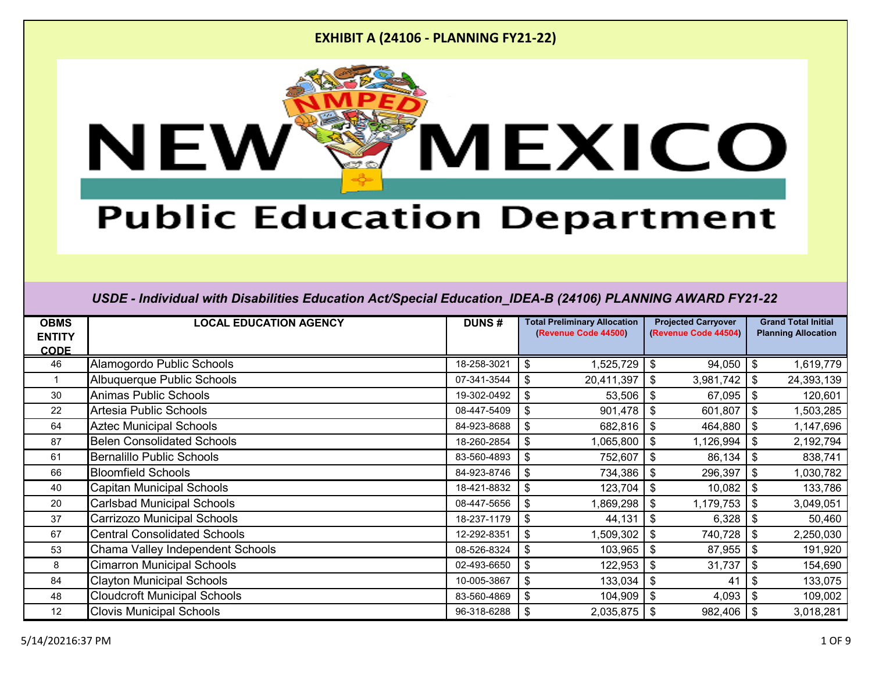

# **Public Education Department**

| <b>OBMS</b><br><b>ENTITY</b><br><b>CODE</b> | <b>LOCAL EDUCATION AGENCY</b>       | <b>DUNS#</b> |                           | <b>Total Preliminary Allocation</b><br>(Revenue Code 44500) | <b>Projected Carryover</b><br>(Revenue Code 44504) |                           | <b>Grand Total Initial</b><br><b>Planning Allocation</b> |
|---------------------------------------------|-------------------------------------|--------------|---------------------------|-------------------------------------------------------------|----------------------------------------------------|---------------------------|----------------------------------------------------------|
| 46                                          | Alamogordo Public Schools           | 18-258-3021  | \$                        | 1,525,729                                                   | 94,050<br>\$                                       | $\boldsymbol{\mathsf{s}}$ | 1,619,779                                                |
|                                             | Albuquerque Public Schools          | 07-341-3544  | \$                        | 20,411,397                                                  | 3,981,742<br>\$                                    | \$                        | 24,393,139                                               |
| 30                                          | <b>Animas Public Schools</b>        | 19-302-0492  | \$                        | 53,506                                                      | 67,095<br>\$                                       | \$                        | 120,601                                                  |
| 22                                          | Artesia Public Schools              | 08-447-5409  | \$                        | 901,478                                                     | 601,807<br>$\boldsymbol{\mathsf{s}}$               | \$                        | 1,503,285                                                |
| 64                                          | <b>Aztec Municipal Schools</b>      | 84-923-8688  | \$                        | 682,816                                                     | \$<br>464,880                                      | \$                        | 1,147,696                                                |
| 87                                          | <b>Belen Consolidated Schools</b>   | 18-260-2854  | \$                        | 1,065,800                                                   | 1,126,994<br>\$                                    | \$                        | 2,192,794                                                |
| 61                                          | <b>Bernalillo Public Schools</b>    | 83-560-4893  | \$                        | 752,607                                                     | 86,134<br>\$                                       | -\$                       | 838,741                                                  |
| 66                                          | <b>Bloomfield Schools</b>           | 84-923-8746  | $\boldsymbol{\mathsf{S}}$ | 734,386                                                     | $\boldsymbol{\mathsf{s}}$<br>296,397               | \$                        | 1,030,782                                                |
| 40                                          | <b>Capitan Municipal Schools</b>    | 18-421-8832  | \$                        | 123,704                                                     | $\boldsymbol{\mathsf{s}}$<br>10,082                | \$                        | 133,786                                                  |
| 20                                          | <b>Carlsbad Municipal Schools</b>   | 08-447-5656  | \$                        | 1,869,298                                                   | \$<br>1,179,753                                    | \$                        | 3,049,051                                                |
| 37                                          | <b>Carrizozo Municipal Schools</b>  | 18-237-1179  | \$                        | 44,131                                                      | 6,328<br>$\boldsymbol{\mathsf{s}}$                 | -\$                       | 50,460                                                   |
| 67                                          | <b>Central Consolidated Schools</b> | 12-292-8351  | \$                        | 1,509,302                                                   | \$<br>740,728                                      | \$                        | 2,250,030                                                |
| 53                                          | Chama Valley Independent Schools    | 08-526-8324  | \$                        | 103,965                                                     | 87,955<br>\$                                       | -\$                       | 191,920                                                  |
| 8                                           | <b>Cimarron Municipal Schools</b>   | 02-493-6650  | $\frac{1}{2}$             | 122,953                                                     | \$<br>31,737                                       | \$                        | 154,690                                                  |
| 84                                          | <b>Clayton Municipal Schools</b>    | 10-005-3867  | \$                        | 133,034                                                     | \$<br>41                                           | \$                        | 133,075                                                  |
| 48                                          | <b>Cloudcroft Municipal Schools</b> | 83-560-4869  | \$                        | 104,909                                                     | $\boldsymbol{\mathsf{s}}$<br>4,093                 | -\$                       | 109,002                                                  |
| $12 \overline{ }$                           | <b>Clovis Municipal Schools</b>     | 96-318-6288  | \$                        | 2,035,875                                                   | 982,406 \$<br>\$                                   |                           | 3,018,281                                                |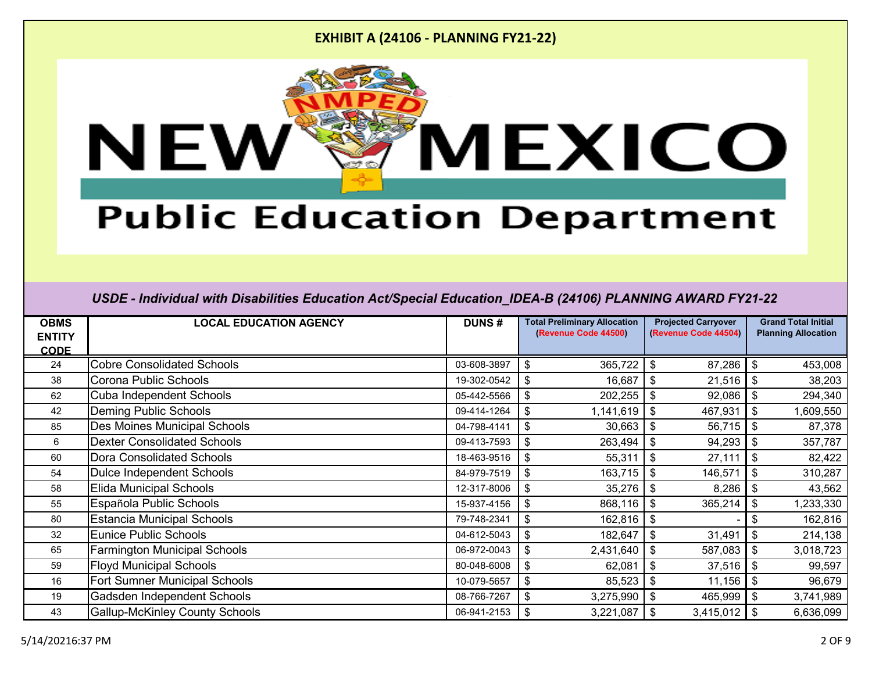

# **Public Education Department**

| <b>OBMS</b><br><b>ENTITY</b><br><b>CODE</b> | <b>LOCAL EDUCATION AGENCY</b>         | <b>DUNS#</b> | <b>Total Preliminary Allocation</b><br>(Revenue Code 44500) | <b>Projected Carryover</b><br>(Revenue Code 44504) | <b>Grand Total Initial</b><br><b>Planning Allocation</b> |
|---------------------------------------------|---------------------------------------|--------------|-------------------------------------------------------------|----------------------------------------------------|----------------------------------------------------------|
| 24                                          | <b>Cobre Consolidated Schools</b>     | 03-608-3897  | 365,722<br>\$                                               | 87,286<br>\$                                       | $\boldsymbol{\mathsf{\$}}$<br>453,008                    |
| 38                                          | Corona Public Schools                 | 19-302-0542  | \$<br>16,687                                                | \$<br>21,516                                       | 38,203<br>\$                                             |
| 62                                          | <b>Cuba Independent Schools</b>       | 05-442-5566  | 202,255<br>\$                                               | 92,086<br>\$                                       | \$<br>294,340                                            |
| 42                                          | <b>Deming Public Schools</b>          | 09-414-1264  | \$<br>1,141,619                                             | 467,931<br>$\frac{1}{2}$                           | $\mathfrak{F}$<br>1,609,550                              |
| 85                                          | <b>Des Moines Municipal Schools</b>   | 04-798-4141  | \$<br>30,663                                                | 56,715<br>\$                                       | $\mathfrak{F}$<br>87,378                                 |
| 6                                           | <b>Dexter Consolidated Schools</b>    | 09-413-7593  | 263,494<br>\$                                               | 94,293<br>\$                                       | 357,787<br>$\boldsymbol{\mathsf{\$}}$                    |
| 60                                          | Dora Consolidated Schools             | 18-463-9516  | \$<br>55,311                                                | \$<br>27,111                                       | \$<br>82,422                                             |
| 54                                          | Dulce Independent Schools             | 84-979-7519  | \$<br>163,715                                               | \$<br>146,571                                      | $\mathfrak{S}$<br>310,287                                |
| 58                                          | <b>Elida Municipal Schools</b>        | 12-317-8006  | \$<br>35,276                                                | \$<br>8,286                                        | $\boldsymbol{\mathsf{s}}$<br>43,562                      |
| 55                                          | Española Public Schools               | 15-937-4156  | \$<br>868,116                                               | \$<br>365,214                                      | \$<br>1,233,330                                          |
| 80                                          | <b>Estancia Municipal Schools</b>     | 79-748-2341  | \$<br>162,816                                               | \$                                                 | \$<br>162,816                                            |
| 32                                          | Eunice Public Schools                 | 04-612-5043  | 182,647<br>\$                                               | \$<br>31,491                                       | $\boldsymbol{\mathcal{F}}$<br>214,138                    |
| 65                                          | <b>Farmington Municipal Schools</b>   | 06-972-0043  | 2,431,640<br>\$                                             | 587,083<br>\$                                      | $\boldsymbol{\mathsf{\$}}$<br>3,018,723                  |
| 59                                          | <b>Floyd Municipal Schools</b>        | 80-048-6008  | 62,081<br>\$                                                | 37,516<br>\$                                       | $\mathfrak{F}$<br>99,597                                 |
| 16                                          | Fort Sumner Municipal Schools         | 10-079-5657  | \$<br>85,523                                                | 11,156<br>\$                                       | $\boldsymbol{\mathsf{\$}}$<br>96,679                     |
| 19                                          | Gadsden Independent Schools           | 08-766-7267  | \$<br>3,275,990                                             | \$<br>465,999                                      | \$<br>3,741,989                                          |
| 43                                          | <b>Gallup-McKinley County Schools</b> | 06-941-2153  | 3,221,087<br>\$                                             | \$<br>3,415,012                                    | \$<br>6,636,099                                          |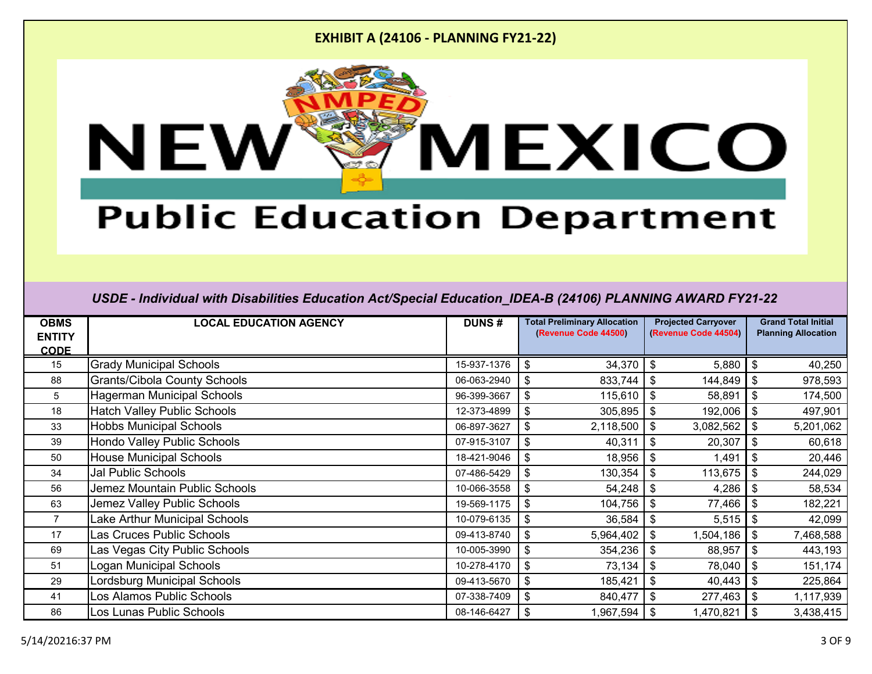

# **Public Education Department**

| <b>OBMS</b><br><b>ENTITY</b> | <b>LOCAL EDUCATION AGENCY</b>       | <b>DUNS#</b> | <b>Total Preliminary Allocation</b><br>(Revenue Code 44500) | <b>Projected Carryover</b><br>(Revenue Code 44504) | <b>Grand Total Initial</b><br><b>Planning Allocation</b> |
|------------------------------|-------------------------------------|--------------|-------------------------------------------------------------|----------------------------------------------------|----------------------------------------------------------|
| <b>CODE</b>                  |                                     |              |                                                             |                                                    |                                                          |
| 15                           | <b>Grady Municipal Schools</b>      | 15-937-1376  | 34,370<br>\$                                                | 5,880<br>\$                                        | -\$<br>40,250                                            |
| 88                           | <b>Grants/Cibola County Schools</b> | 06-063-2940  | 833,744<br>\$                                               | $\sqrt[6]{2}$<br>144,849                           | 978,593<br>-\$                                           |
| 5                            | <b>Hagerman Municipal Schools</b>   | 96-399-3667  | \$<br>115,610                                               | 58,891<br>\$                                       | \$<br>174,500                                            |
| 18                           | <b>Hatch Valley Public Schools</b>  | 12-373-4899  | 305,895<br>\$                                               | 192,006<br>\$                                      | - \$<br>497,901                                          |
| 33                           | <b>Hobbs Municipal Schools</b>      | 06-897-3627  | 2,118,500<br>\$                                             | $\boldsymbol{\mathsf{S}}$<br>3,082,562             | \$<br>5,201,062                                          |
| 39                           | Hondo Valley Public Schools         | 07-915-3107  | 40,311<br>\$                                                | 20,307<br>$\boldsymbol{\mathsf{S}}$                | \$<br>60,618                                             |
| 50                           | <b>House Municipal Schools</b>      | 18-421-9046  | 18,956<br>\$                                                | 1,491<br>\$                                        | \$<br>20,446                                             |
| 34                           | <b>Jal Public Schools</b>           | 07-486-5429  | \$<br>130,354                                               | $\boldsymbol{\mathsf{s}}$<br>113,675               | 244,029                                                  |
| 56                           | Jemez Mountain Public Schools       | 10-066-3558  | \$<br>54,248                                                | $\boldsymbol{\mathsf{S}}$<br>4,286                 | -\$<br>58,534                                            |
| 63                           | Jemez Valley Public Schools         | 19-569-1175  | \$<br>104,756                                               | $\boldsymbol{\mathsf{S}}$<br>77,466                | 182,221<br>-\$                                           |
| 7                            | Lake Arthur Municipal Schools       | 10-079-6135  | \$<br>36,584                                                | \$<br>5,515                                        | l \$<br>42,099                                           |
| 17                           | Las Cruces Public Schools           | 09-413-8740  | 5,964,402<br>\$                                             | $\boldsymbol{\mathsf{s}}$<br>1,504,186             | l \$<br>7,468,588                                        |
| 69                           | Las Vegas City Public Schools       | 10-005-3990  | 354,236<br>\$                                               | 88,957<br>$\boldsymbol{\mathsf{S}}$                | -\$<br>443,193                                           |
| 51                           | <b>Logan Municipal Schools</b>      | 10-278-4170  | 73,134<br>\$                                                | 78,040<br>$\boldsymbol{\mathsf{S}}$                | l \$<br>151,174                                          |
| 29                           | <b>Lordsburg Municipal Schools</b>  | 09-413-5670  | 185,421<br>\$                                               | 40,443<br>\$                                       | l \$<br>225,864                                          |
| 41                           | Los Alamos Public Schools           | 07-338-7409  | 840,477<br>\$                                               | \$<br>277,463                                      | 1,117,939                                                |
| 86                           | Los Lunas Public Schools            | 08-146-6427  | 1,967,594<br>\$                                             | \$<br>1,470,821                                    | 3,438,415                                                |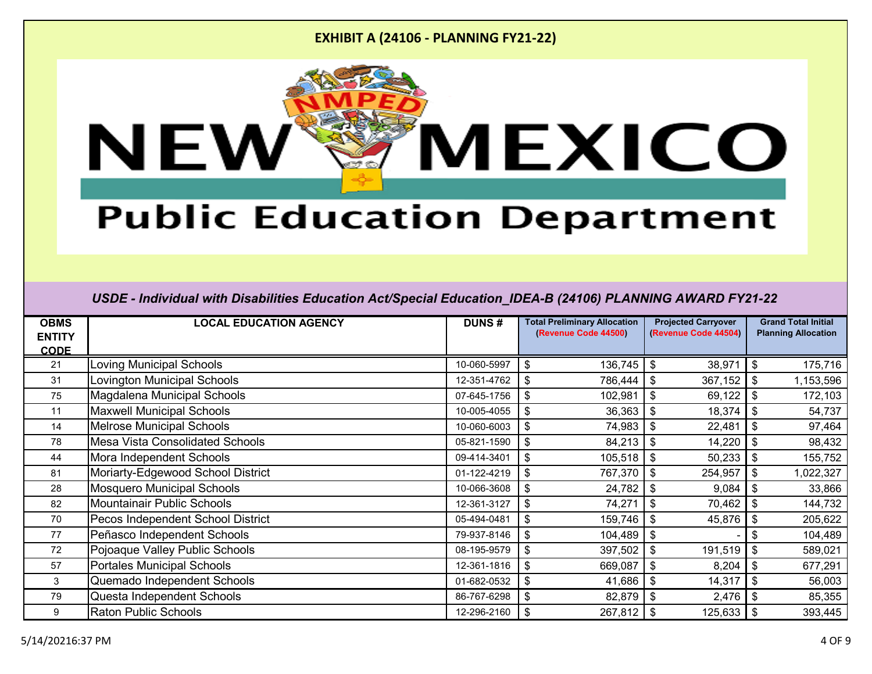

# **Public Education Department**

| <b>OBMS</b>   | <b>LOCAL EDUCATION AGENCY</b>          | <b>DUNS#</b> | <b>Total Preliminary Allocation</b> | <b>Projected Carryover</b> | <b>Grand Total Initial</b> |
|---------------|----------------------------------------|--------------|-------------------------------------|----------------------------|----------------------------|
| <b>ENTITY</b> |                                        |              | (Revenue Code 44500)                | (Revenue Code 44504)       | <b>Planning Allocation</b> |
| <b>CODE</b>   |                                        |              |                                     |                            |                            |
| 21            | Loving Municipal Schools               | 10-060-5997  | 136,745<br>\$                       | 38,971<br>\$               | \$<br>175,716              |
| 31            | Lovington Municipal Schools            | 12-351-4762  | \$<br>786,444                       | 367,152<br>\$              | -\$<br>1,153,596           |
| 75            | Magdalena Municipal Schools            | 07-645-1756  | 102,981<br>\$                       | 69,122<br>$\sqrt[6]{3}$    | -\$<br>172,103             |
| 11            | <b>Maxwell Municipal Schools</b>       | 10-005-4055  | 36,363<br>\$                        | 18,374<br>\$               | -\$<br>54,737              |
| 14            | <b>Melrose Municipal Schools</b>       | 10-060-6003  | 74,983<br>\$                        | $\sqrt[6]{3}$<br>22,481    | \$<br>97,464               |
| 78            | <b>Mesa Vista Consolidated Schools</b> | 05-821-1590  | 84,213<br>\$                        | 14,220<br>\$               | \$<br>98,432               |
| 44            | Mora Independent Schools               | 09-414-3401  | \$<br>105,518                       | 50,233<br>\$               | -\$<br>155,752             |
| 81            | Moriarty-Edgewood School District      | 01-122-4219  | \$<br>767,370                       | \$<br>254,957              | -\$<br>1,022,327           |
| 28            | <b>Mosquero Municipal Schools</b>      | 10-066-3608  | 24,782<br>\$                        | 9,084<br>\$                | -\$<br>33,866              |
| 82            | Mountainair Public Schools             | 12-361-3127  | 74,271<br>\$                        | 70,462<br>\$               | \$<br>144,732              |
| 70            | Pecos Independent School District      | 05-494-0481  | \$<br>159,746                       | 45,876<br>\$               | -\$<br>205,622             |
| 77            | Peñasco Independent Schools            | 79-937-8146  | 104,489<br>\$                       | $\sqrt[6]{\frac{1}{2}}$    | 104,489<br>\$              |
| 72            | Pojoaque Valley Public Schools         | 08-195-9579  | 397,502<br>\$                       | 191,519<br>$\sqrt[6]{3}$   | \$<br>589,021              |
| 57            | <b>Portales Municipal Schools</b>      | 12-361-1816  | 669,087<br>\$                       | 8,204<br>\$                | -\$<br>677,291             |
| 3             | Quemado Independent Schools            | 01-682-0532  | 41,686<br>\$                        | 14,317<br>\$               | -\$<br>56,003              |
| 79            | Questa Independent Schools             | 86-767-6298  | \$<br>82,879                        | $\sqrt[6]{3}$<br>2,476     | -\$<br>85,355              |
| 9             | <b>Raton Public Schools</b>            | 12-296-2160  | 267,812<br>\$                       | \$<br>125,633              | 393,445                    |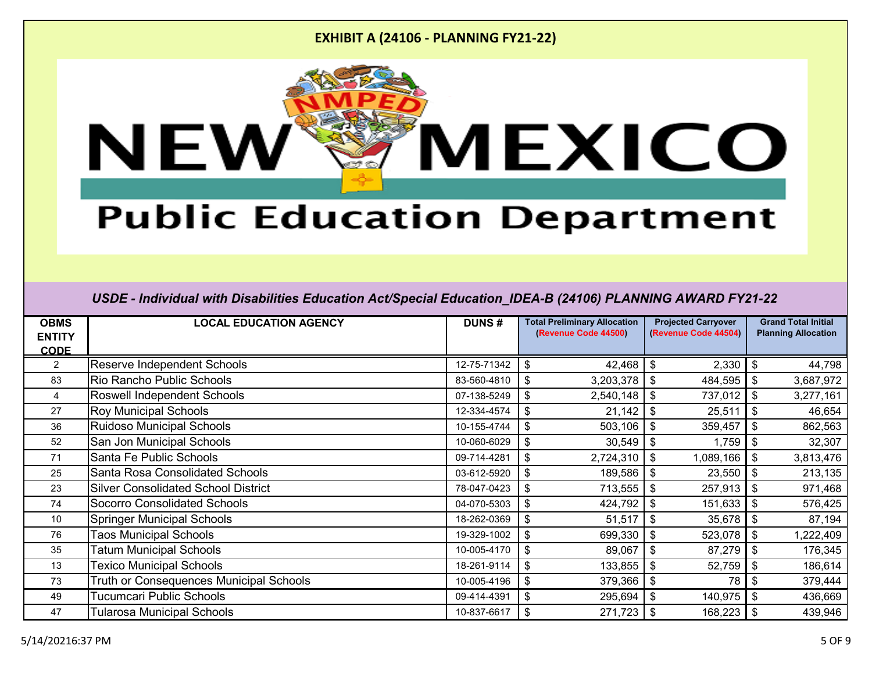

# **Public Education Department**

| <b>OBMS</b><br><b>ENTITY</b><br><b>CODE</b> | <b>LOCAL EDUCATION AGENCY</b>              | <b>DUNS#</b> |    | <b>Total Preliminary Allocation</b><br>(Revenue Code 44500) | <b>Projected Carryover</b><br>(Revenue Code 44504) |                            |           |  | <b>Grand Total Initial</b><br><b>Planning Allocation</b> |
|---------------------------------------------|--------------------------------------------|--------------|----|-------------------------------------------------------------|----------------------------------------------------|----------------------------|-----------|--|----------------------------------------------------------|
| $\overline{2}$                              | <b>Reserve Independent Schools</b>         | 12-75-71342  | \$ | 42,468                                                      | 2,330<br>\$                                        | \$                         | 44,798    |  |                                                          |
| 83                                          | Rio Rancho Public Schools                  | 83-560-4810  | \$ | 3,203,378                                                   | \$<br>484,595                                      | $\boldsymbol{\mathcal{F}}$ | 3,687,972 |  |                                                          |
| 4                                           | Roswell Independent Schools                | 07-138-5249  | \$ | 2,540,148                                                   | 737,012<br>\$                                      | \$                         | 3,277,161 |  |                                                          |
| 27                                          | <b>Roy Municipal Schools</b>               | 12-334-4574  | \$ | 21,142                                                      | \$<br>25,511                                       | $\boldsymbol{\mathsf{s}}$  | 46,654    |  |                                                          |
| 36                                          | <b>Ruidoso Municipal Schools</b>           | 10-155-4744  | \$ | 503,106                                                     | $\boldsymbol{\mathsf{S}}$<br>359,457               | $\boldsymbol{\mathsf{s}}$  | 862,563   |  |                                                          |
| 52                                          | San Jon Municipal Schools                  | 10-060-6029  | \$ | 30,549                                                      | 1,759<br>\$                                        | \$                         | 32,307    |  |                                                          |
| 71                                          | Santa Fe Public Schools                    | 09-714-4281  | \$ | 2,724,310                                                   | \$<br>1,089,166                                    | \$                         | 3,813,476 |  |                                                          |
| 25                                          | Santa Rosa Consolidated Schools            | 03-612-5920  | \$ | 189,586                                                     | $\boldsymbol{\mathsf{s}}$<br>23,550                | \$                         | 213,135   |  |                                                          |
| 23                                          | <b>Silver Consolidated School District</b> | 78-047-0423  | \$ | 713,555                                                     | \$<br>257,913                                      | \$                         | 971,468   |  |                                                          |
| 74                                          | <b>Socorro Consolidated Schools</b>        | 04-070-5303  | \$ | 424,792                                                     | 151,633<br>\$                                      | $\boldsymbol{\mathcal{F}}$ | 576,425   |  |                                                          |
| 10                                          | <b>Springer Municipal Schools</b>          | 18-262-0369  | \$ | 51,517                                                      | \$<br>35,678                                       | \$                         | 87,194    |  |                                                          |
| 76                                          | <b>Taos Municipal Schools</b>              | 19-329-1002  | \$ | 699,330                                                     | \$<br>523,078                                      | $\mathfrak{F}$             | 1,222,409 |  |                                                          |
| 35                                          | <b>Tatum Municipal Schools</b>             | 10-005-4170  | \$ | 89,067                                                      | 87,279<br>\$                                       | \$                         | 176,345   |  |                                                          |
| 13                                          | <b>Texico Municipal Schools</b>            | 18-261-9114  | \$ | 133,855                                                     | \$<br>52,759                                       | \$                         | 186,614   |  |                                                          |
| 73                                          | Truth or Consequences Municipal Schools    | 10-005-4196  | \$ | 379,366                                                     | 78<br>\$                                           | \$                         | 379,444   |  |                                                          |
| 49                                          | Tucumcari Public Schools                   | 09-414-4391  | \$ | 295,694                                                     | \$<br>140,975                                      | \$                         | 436,669   |  |                                                          |
| 47                                          | Tularosa Municipal Schools                 | 10-837-6617  | \$ | 271,723                                                     | \$<br>168,223                                      | -\$                        | 439,946   |  |                                                          |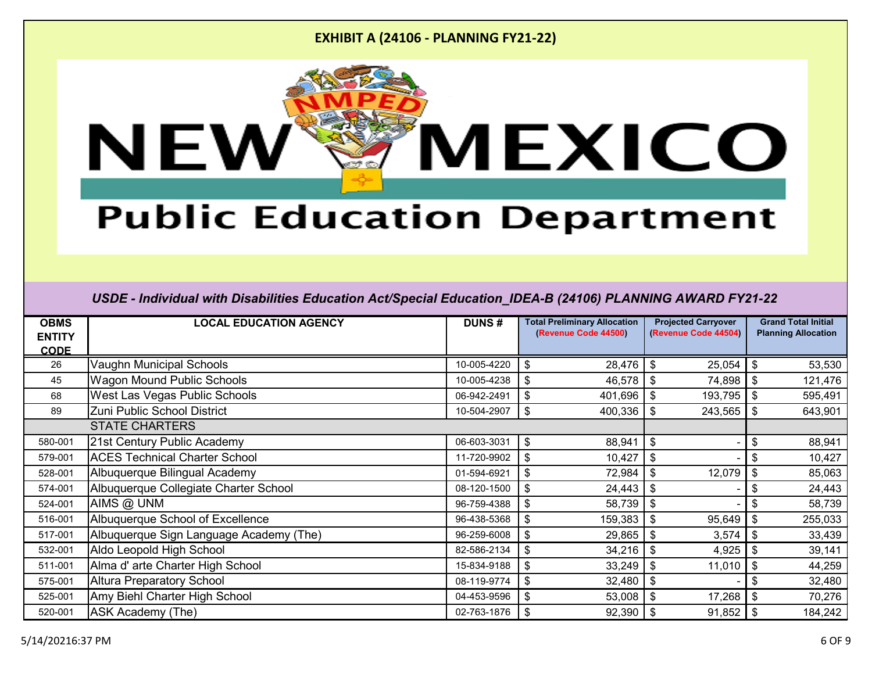

# **Public Education Department**

| <b>OBMS</b><br><b>ENTITY</b><br><b>CODE</b> | <b>LOCAL EDUCATION AGENCY</b>           | <b>DUNS#</b> | <b>Total Preliminary Allocation</b><br>(Revenue Code 44500) | <b>Projected Carryover</b><br>(Revenue Code 44504) | <b>Grand Total Initial</b><br><b>Planning Allocation</b> |
|---------------------------------------------|-----------------------------------------|--------------|-------------------------------------------------------------|----------------------------------------------------|----------------------------------------------------------|
| 26                                          | Vaughn Municipal Schools                | 10-005-4220  | 28,476<br>\$                                                | 25,054<br>\$                                       | $\boldsymbol{\mathsf{\$}}$<br>53,530                     |
| 45                                          | <b>Wagon Mound Public Schools</b>       | 10-005-4238  | 46,578<br>\$                                                | \$<br>74,898                                       | $\boldsymbol{\mathsf{\$}}$<br>121,476                    |
| 68                                          | West Las Vegas Public Schools           | 06-942-2491  | \$<br>401,696                                               | \$<br>193,795                                      | \$<br>595,491                                            |
| 89                                          | Zuni Public School District             | 10-504-2907  | \$<br>400,336                                               | \$<br>243,565                                      | $\boldsymbol{\mathsf{S}}$<br>643,901                     |
|                                             | <b>STATE CHARTERS</b>                   |              |                                                             |                                                    |                                                          |
| 580-001                                     | 21st Century Public Academy             | 06-603-3031  | $\frac{1}{2}$<br>88,941                                     | \$                                                 | \$<br>88,941                                             |
| 579-001                                     | <b>ACES Technical Charter School</b>    | 11-720-9902  | \$<br>10,427                                                | \$                                                 | \$<br>10,427                                             |
| 528-001                                     | Albuquerque Bilingual Academy           | 01-594-6921  | \$<br>72,984                                                | \$<br>12,079                                       | \$<br>85,063                                             |
| 574-001                                     | Albuquerque Collegiate Charter School   | 08-120-1500  | \$<br>24,443                                                | \$                                                 | \$<br>24,443                                             |
| 524-001                                     | AIMS @ UNM                              | 96-759-4388  | \$<br>58,739                                                | \$                                                 | $\boldsymbol{\mathsf{s}}$<br>58,739                      |
| 516-001                                     | Albuquerque School of Excellence        | 96-438-5368  | \$<br>159,383                                               | 95,649<br>\$                                       | $\boldsymbol{\mathsf{s}}$<br>255,033                     |
| 517-001                                     | Albuquerque Sign Language Academy (The) | 96-259-6008  | \$<br>29,865                                                | \$<br>3,574                                        | $\frac{1}{2}$<br>33,439                                  |
| 532-001                                     | Aldo Leopold High School                | 82-586-2134  | 34,216<br>\$                                                | \$<br>4,925                                        | \$<br>39,141                                             |
| 511-001                                     | Alma d' arte Charter High School        | 15-834-9188  | \$<br>33,249                                                | \$<br>11,010                                       | \$<br>44,259                                             |
| 575-001                                     | <b>Altura Preparatory School</b>        | 08-119-9774  | \$<br>32,480                                                | \$                                                 | \$<br>32,480                                             |
| 525-001                                     | Amy Biehl Charter High School           | 04-453-9596  | \$<br>53,008                                                | \$<br>17,268                                       | $\boldsymbol{\mathsf{S}}$<br>70,276                      |
| 520-001                                     | <b>ASK Academy (The)</b>                | 02-763-1876  | \$<br>92,390                                                | \$<br>91,852                                       | \$<br>184,242                                            |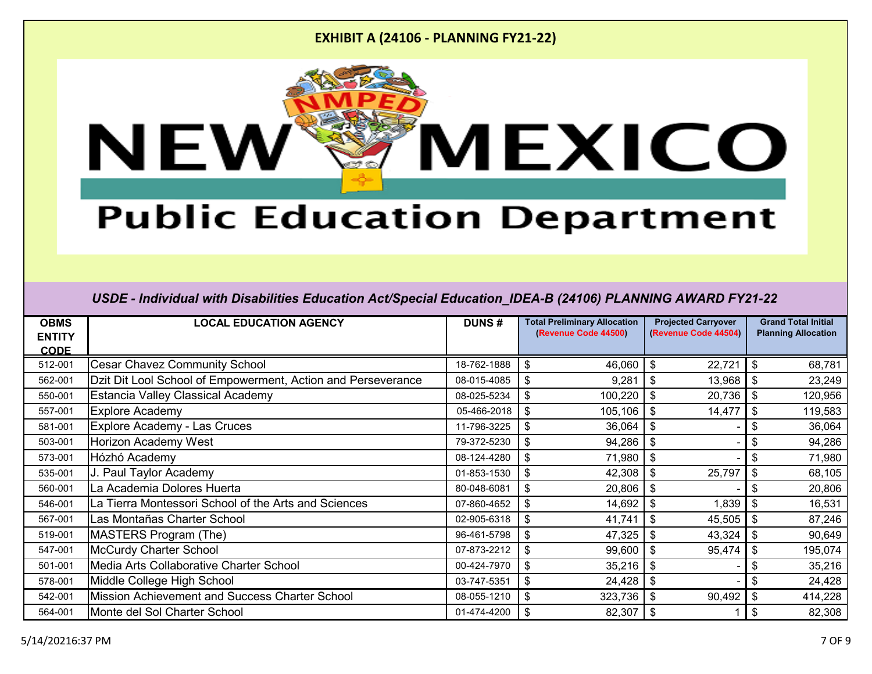

# **Public Education Department**

| <b>OBMS</b><br><b>ENTITY</b> | <b>LOCAL EDUCATION AGENCY</b>                                | <b>DUNS#</b> | <b>Total Preliminary Allocation</b><br>(Revenue Code 44500) | <b>Projected Carryover</b><br>(Revenue Code 44504) | <b>Grand Total Initial</b><br><b>Planning Allocation</b> |
|------------------------------|--------------------------------------------------------------|--------------|-------------------------------------------------------------|----------------------------------------------------|----------------------------------------------------------|
| <b>CODE</b>                  |                                                              |              |                                                             |                                                    |                                                          |
| 512-001                      | <b>Cesar Chavez Community School</b>                         | 18-762-1888  | \$<br>46,060                                                | 22,721<br>\$                                       | \$<br>68,781                                             |
| 562-001                      | Dzit Dit Lool School of Empowerment, Action and Perseverance | 08-015-4085  | 9,281<br>\$                                                 | \$<br>13,968                                       | 23,249<br>\$                                             |
| 550-001                      | <b>Estancia Valley Classical Academy</b>                     | 08-025-5234  | 100,220<br>\$                                               | 20,736<br>\$                                       | \$<br>120,956                                            |
| 557-001                      | <b>Explore Academy</b>                                       | 05-466-2018  | 105,106<br>\$                                               | 14,477<br>\$                                       | \$<br>119,583                                            |
| 581-001                      | <b>Explore Academy - Las Cruces</b>                          | 11-796-3225  | 36,064<br>\$                                                | \$                                                 | \$<br>36,064                                             |
| 503-001                      | <b>Horizon Academy West</b>                                  | 79-372-5230  | 94,286<br>\$                                                | \$                                                 | \$<br>94,286                                             |
| 573-001                      | Hózhó Academy                                                | 08-124-4280  | 71,980<br>\$                                                | \$                                                 | \$<br>71,980                                             |
| 535-001                      | J. Paul Taylor Academy                                       | 01-853-1530  | \$<br>42,308                                                | $\sqrt[6]{3}$<br>25,797                            | \$<br>68,105                                             |
| 560-001                      | La Academia Dolores Huerta                                   | 80-048-6081  | 20,806<br>\$                                                | \$                                                 | 20,806<br>\$                                             |
| 546-001                      | La Tierra Montessori School of the Arts and Sciences         | 07-860-4652  | 14,692<br>\$                                                | 1,839<br>\$                                        | \$<br>16,531                                             |
| 567-001                      | Las Montañas Charter School                                  | 02-905-6318  | 41,741<br>\$                                                | \$<br>45,505                                       | \$<br>87,246                                             |
| 519-001                      | MASTERS Program (The)                                        | 96-461-5798  | 47,325<br>\$                                                | \$<br>43,324                                       | $\boldsymbol{\mathsf{s}}$<br>90,649                      |
| 547-001                      | McCurdy Charter School                                       | 07-873-2212  | 99,600<br>\$                                                | \$<br>95,474                                       | $\boldsymbol{\mathsf{s}}$<br>195,074                     |
| 501-001                      | Media Arts Collaborative Charter School                      | 00-424-7970  | 35,216<br>\$                                                | \$                                                 | \$<br>35,216                                             |
| 578-001                      | Middle College High School                                   | 03-747-5351  | \$<br>24,428                                                | \$                                                 | 24,428                                                   |
| 542-001                      | Mission Achievement and Success Charter School               | 08-055-1210  | 323,736<br>\$                                               | $\sqrt[6]{3}$<br>90,492                            | \$<br>414,228                                            |
| 564-001                      | Monte del Sol Charter School                                 | 01-474-4200  | \$<br>82,307                                                | \$                                                 | \$<br>82,308                                             |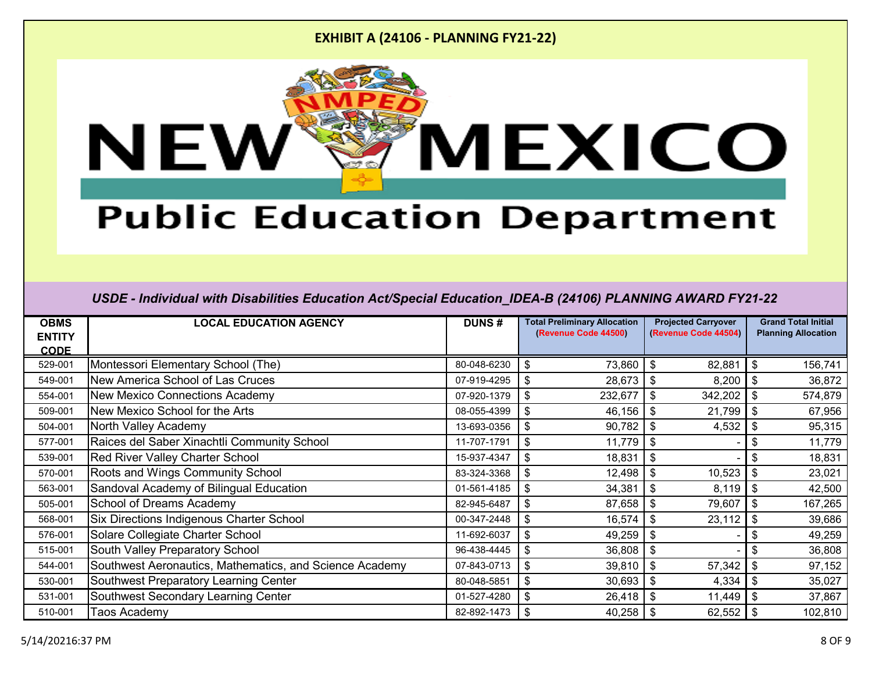

# **Public Education Department**

| <b>OBMS</b>                  | <b>LOCAL EDUCATION AGENCY</b>                           | <b>DUNS#</b> | <b>Total Preliminary Allocation</b><br>(Revenue Code 44500) | <b>Projected Carryover</b><br>(Revenue Code 44504) | <b>Grand Total Initial</b><br><b>Planning Allocation</b> |
|------------------------------|---------------------------------------------------------|--------------|-------------------------------------------------------------|----------------------------------------------------|----------------------------------------------------------|
| <b>ENTITY</b><br><b>CODE</b> |                                                         |              |                                                             |                                                    |                                                          |
| 529-001                      | Montessori Elementary School (The)                      | 80-048-6230  | \$<br>73,860                                                | 82,881<br>\$                                       | \$<br>156,741                                            |
| 549-001                      | New America School of Las Cruces                        | 07-919-4295  | 28,673                                                      | $\boldsymbol{\mathsf{S}}$<br>8,200                 | -\$<br>36,872                                            |
| 554-001                      | New Mexico Connections Academy                          | 07-920-1379  | 232,677<br>\$                                               | 342,202<br>\$                                      | \$<br>574,879                                            |
| 509-001                      | New Mexico School for the Arts                          | 08-055-4399  | 46,156<br>\$                                                | 21,799<br>$\sqrt[6]{2}$                            | -\$<br>67,956                                            |
| 504-001                      | North Valley Academy                                    | 13-693-0356  | 90,782<br>\$                                                | 4,532<br>$\boldsymbol{\mathsf{S}}$                 | \$<br>95,315                                             |
| 577-001                      | Raices del Saber Xinachtli Community School             | 11-707-1791  | 11,779<br>\$                                                | \$                                                 | 11,779<br>\$                                             |
| 539-001                      | <b>Red River Valley Charter School</b>                  | 15-937-4347  | 18,831                                                      | $\boldsymbol{\mathsf{S}}$                          | 18,831                                                   |
| 570-001                      | <b>Roots and Wings Community School</b>                 | 83-324-3368  | 12,498<br>\$                                                | $\boldsymbol{\mathsf{s}}$<br>10,523                | -\$<br>23,021                                            |
| 563-001                      | Sandoval Academy of Bilingual Education                 | 01-561-4185  | 34,381                                                      | $\boldsymbol{\mathsf{S}}$<br>8,119                 | -\$<br>42,500                                            |
| 505-001                      | <b>School of Dreams Academy</b>                         | 82-945-6487  | \$<br>87,658                                                | $\boldsymbol{\mathsf{S}}$<br>79,607                | \$<br>167,265                                            |
| 568-001                      | <b>Six Directions Indigenous Charter School</b>         | 00-347-2448  | 16,574<br>\$                                                | \$<br>23,112                                       | \$<br>39,686                                             |
| 576-001                      | Solare Collegiate Charter School                        | 11-692-6037  | 49,259<br>\$                                                | $\boldsymbol{\mathsf{S}}$                          | \$<br>49,259                                             |
| 515-001                      | South Valley Preparatory School                         | 96-438-4445  | 36,808<br>\$                                                | $\frac{1}{2}$                                      | 36,808<br>\$                                             |
| 544-001                      | Southwest Aeronautics, Mathematics, and Science Academy | 07-843-0713  | 39,810<br>\$                                                | $\boldsymbol{\mathsf{S}}$<br>57,342                | \$<br>97,152                                             |
| 530-001                      | Southwest Preparatory Learning Center                   | 80-048-5851  | 30,693<br>\$                                                | $\boldsymbol{\mathsf{s}}$<br>4,334                 | -\$<br>35,027                                            |
| 531-001                      | Southwest Secondary Learning Center                     | 01-527-4280  | \$<br>26,418                                                | $\boldsymbol{\mathsf{s}}$<br>11,449                | -\$<br>37,867                                            |
| 510-001                      | Taos Academy                                            | 82-892-1473  | \$<br>40,258                                                | \$<br>62,552                                       | 102,810                                                  |